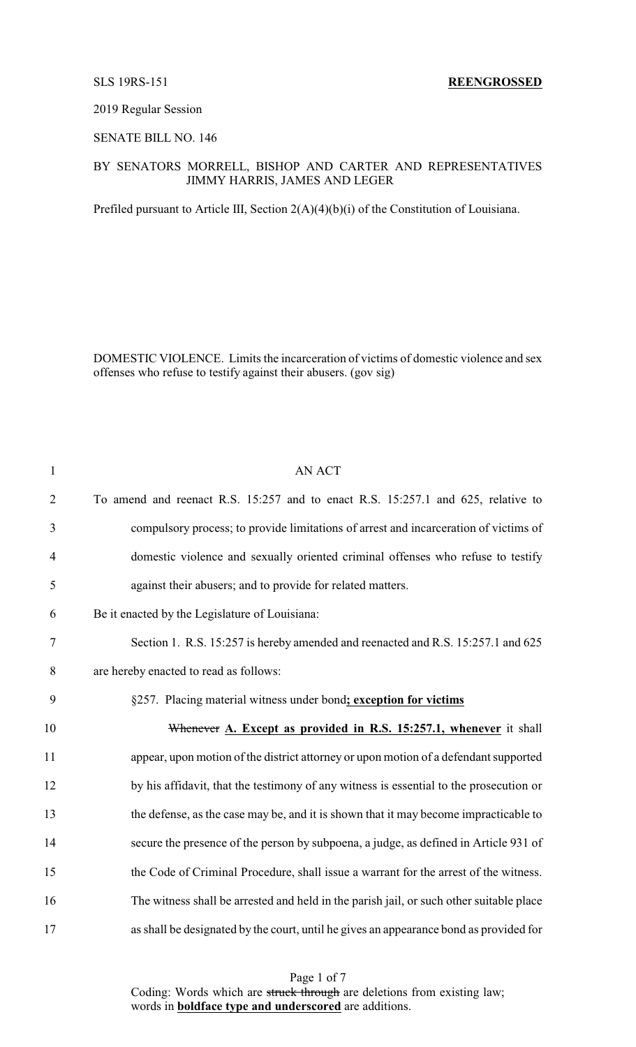#### 2019 Regular Session

## SENATE BILL NO. 146

#### BY SENATORS MORRELL, BISHOP AND CARTER AND REPRESENTATIVES JIMMY HARRIS, JAMES AND LEGER

Prefiled pursuant to Article III, Section 2(A)(4)(b)(i) of the Constitution of Louisiana.

DOMESTIC VIOLENCE. Limits the incarceration of victims of domestic violence and sex offenses who refuse to testify against their abusers. (gov sig)

| $\mathbf{1}$   | <b>AN ACT</b>                                                                           |
|----------------|-----------------------------------------------------------------------------------------|
| $\overline{2}$ | To amend and reenact R.S. 15:257 and to enact R.S. 15:257.1 and 625, relative to        |
| 3              | compulsory process; to provide limitations of arrest and incarceration of victims of    |
| $\overline{4}$ | domestic violence and sexually oriented criminal offenses who refuse to testify         |
| 5              | against their abusers; and to provide for related matters.                              |
| 6              | Be it enacted by the Legislature of Louisiana:                                          |
| 7              | Section 1. R.S. 15:257 is hereby amended and reenacted and R.S. 15:257.1 and 625        |
| 8              | are hereby enacted to read as follows:                                                  |
| 9              | §257. Placing material witness under bond; exception for victims                        |
| 10             | Whenever A. Except as provided in R.S. 15:257.1, whenever it shall                      |
| 11             | appear, upon motion of the district attorney or upon motion of a defendant supported    |
| 12             | by his affidavit, that the testimony of any witness is essential to the prosecution or  |
| 13             | the defense, as the case may be, and it is shown that it may become impracticable to    |
| 14             | secure the presence of the person by subpoena, a judge, as defined in Article 931 of    |
| 15             | the Code of Criminal Procedure, shall issue a warrant for the arrest of the witness.    |
| 16             | The witness shall be arrested and held in the parish jail, or such other suitable place |
| 17             | as shall be designated by the court, until he gives an appearance bond as provided for  |
|                |                                                                                         |

Page 1 of 7 Coding: Words which are struck through are deletions from existing law; words in **boldface type and underscored** are additions.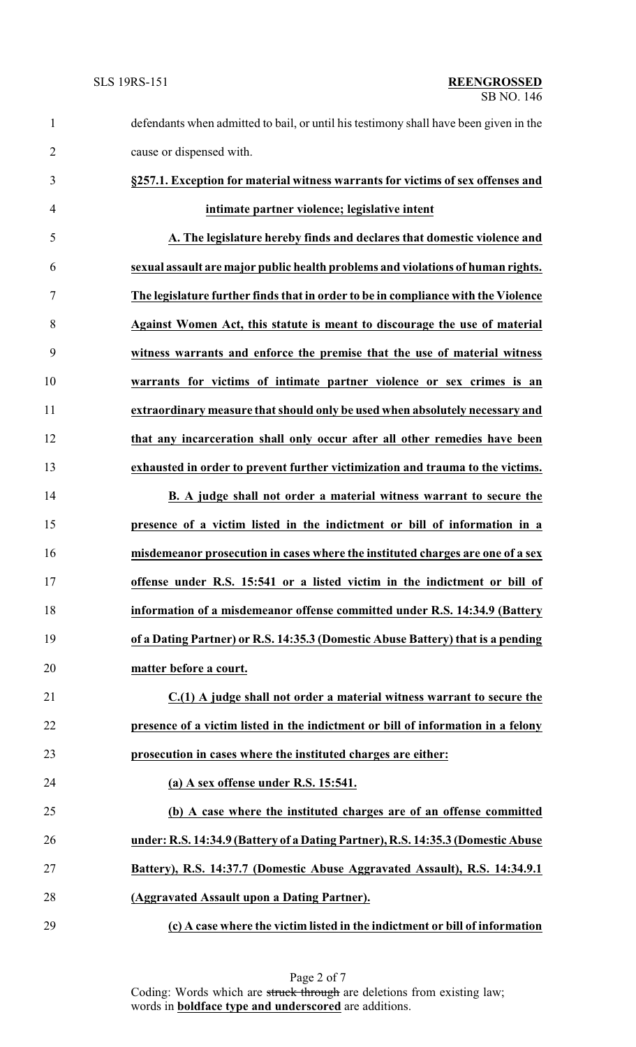defendants when admitted to bail, or until his testimony shall have been given in the cause or dispensed with. **§257.1. Exception for material witness warrants for victims of sex offenses and intimate partner violence; legislative intent A. The legislature hereby finds and declares that domestic violence and sexual assault are major public health problems and violations of human rights. The legislature further finds that in order to be in compliance with the Violence Against Women Act, this statute is meant to discourage the use of material witness warrants and enforce the premise that the use of material witness warrants for victims of intimate partner violence or sex crimes is an extraordinary measure that should only be used when absolutely necessary and that any incarceration shall only occur after all other remedies have been exhausted in order to prevent further victimization and trauma to the victims. B. A judge shall not order a material witness warrant to secure the presence of a victim listed in the indictment or bill of information in a misdemeanor prosecution in cases where the instituted charges are one of a sex offense under R.S. 15:541 or a listed victim in the indictment or bill of information of a misdemeanor offense committed under R.S. 14:34.9 (Battery of a Dating Partner) or R.S. 14:35.3 (Domestic Abuse Battery) that is a pending matter before a court. C.(1) A judge shall not order a material witness warrant to secure the presence of a victim listed in the indictment or bill of information in a felony prosecution in cases where the instituted charges are either: (a) A sex offense under R.S. 15:541. (b) A case where the instituted charges are of an offense committed under: R.S. 14:34.9 (Battery of a Dating Partner), R.S. 14:35.3 (Domestic Abuse Battery), R.S. 14:37.7 (Domestic Abuse Aggravated Assault), R.S. 14:34.9.1 (Aggravated Assault upon a Dating Partner). (c) A case where the victim listed in the indictment or bill of information**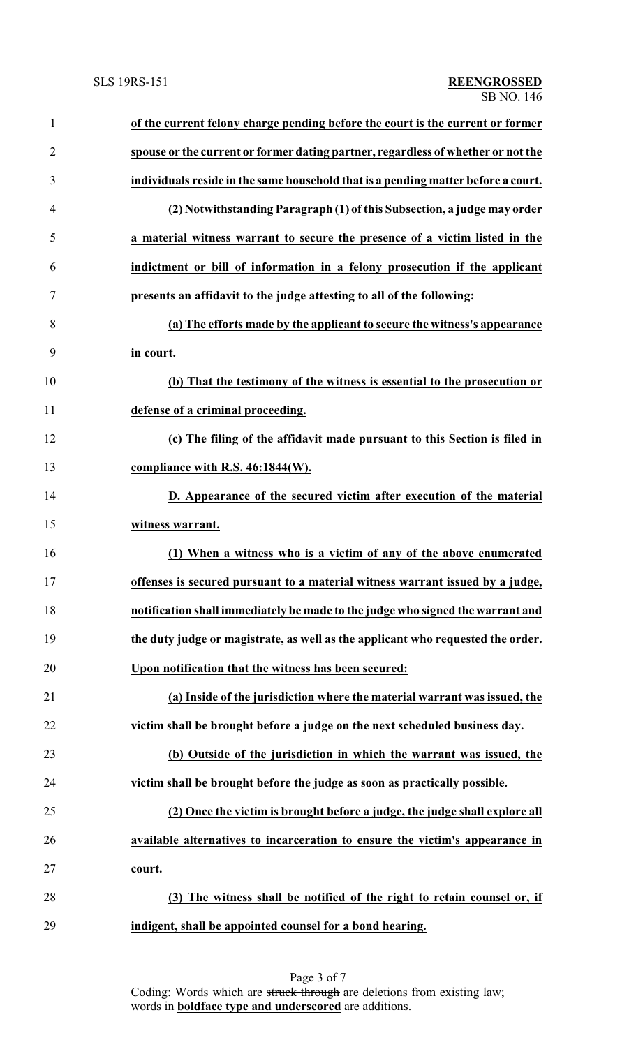| of the current felony charge pending before the court is the current or former    |
|-----------------------------------------------------------------------------------|
| spouse or the current or former dating partner, regardless of whether or not the  |
| individuals reside in the same household that is a pending matter before a court. |
| (2) Notwithstanding Paragraph (1) of this Subsection, a judge may order           |
| a material witness warrant to secure the presence of a victim listed in the       |
| indictment or bill of information in a felony prosecution if the applicant        |
| presents an affidavit to the judge attesting to all of the following:             |
| (a) The efforts made by the applicant to secure the witness's appearance          |
| in court.                                                                         |
| (b) That the testimony of the witness is essential to the prosecution or          |
| defense of a criminal proceeding.                                                 |
| (c) The filing of the affidavit made pursuant to this Section is filed in         |
| compliance with R.S. 46:1844(W).                                                  |
| D. Appearance of the secured victim after execution of the material               |
| witness warrant.                                                                  |
| (1) When a witness who is a victim of any of the above enumerated                 |
| offenses is secured pursuant to a material witness warrant issued by a judge,     |
| notification shall immediately be made to the judge who signed the warrant and    |
| the duty judge or magistrate, as well as the applicant who requested the order.   |
| Upon notification that the witness has been secured:                              |
| (a) Inside of the jurisdiction where the material warrant was issued, the         |
| victim shall be brought before a judge on the next scheduled business day.        |
| (b) Outside of the jurisdiction in which the warrant was issued, the              |
| victim shall be brought before the judge as soon as practically possible.         |
| (2) Once the victim is brought before a judge, the judge shall explore all        |
| available alternatives to incarceration to ensure the victim's appearance in      |
| court.                                                                            |
| (3) The witness shall be notified of the right to retain counsel or, if           |
| indigent, shall be appointed counsel for a bond hearing.                          |
|                                                                                   |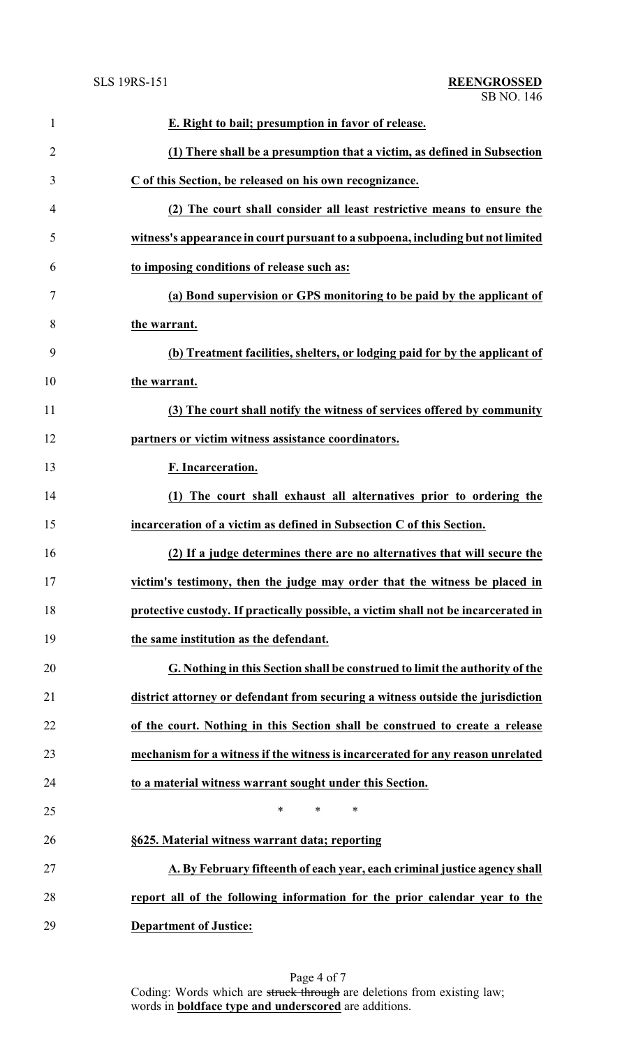| $\mathbf{1}$   | E. Right to bail; presumption in favor of release.                                 |
|----------------|------------------------------------------------------------------------------------|
| $\overline{2}$ | (1) There shall be a presumption that a victim, as defined in Subsection           |
| 3              | C of this Section, be released on his own recognizance.                            |
| 4              | (2) The court shall consider all least restrictive means to ensure the             |
| 5              | witness's appearance in court pursuant to a subpoena, including but not limited    |
| 6              | to imposing conditions of release such as:                                         |
| 7              | (a) Bond supervision or GPS monitoring to be paid by the applicant of              |
| 8              | the warrant.                                                                       |
| 9              | (b) Treatment facilities, shelters, or lodging paid for by the applicant of        |
| 10             | the warrant.                                                                       |
| 11             | (3) The court shall notify the witness of services offered by community            |
| 12             | partners or victim witness assistance coordinators.                                |
| 13             | F. Incarceration.                                                                  |
| 14             | (1) The court shall exhaust all alternatives prior to ordering the                 |
| 15             | incarceration of a victim as defined in Subsection C of this Section.              |
| 16             | (2) If a judge determines there are no alternatives that will secure the           |
| 17             | victim's testimony, then the judge may order that the witness be placed in         |
| 18             | protective custody. If practically possible, a victim shall not be incarcerated in |
| 19             | the same institution as the defendant.                                             |
| 20             | G. Nothing in this Section shall be construed to limit the authority of the        |
| 21             | district attorney or defendant from securing a witness outside the jurisdiction    |
| 22             | of the court. Nothing in this Section shall be construed to create a release       |
| 23             | mechanism for a witness if the witness is incarcerated for any reason unrelated    |
| 24             | to a material witness warrant sought under this Section.                           |
| 25             | ∗<br>*<br>∗                                                                        |
| 26             | §625. Material witness warrant data; reporting                                     |
| 27             | A. By February fifteenth of each year, each criminal justice agency shall          |
| 28             | report all of the following information for the prior calendar year to the         |
| 29             | <b>Department of Justice:</b>                                                      |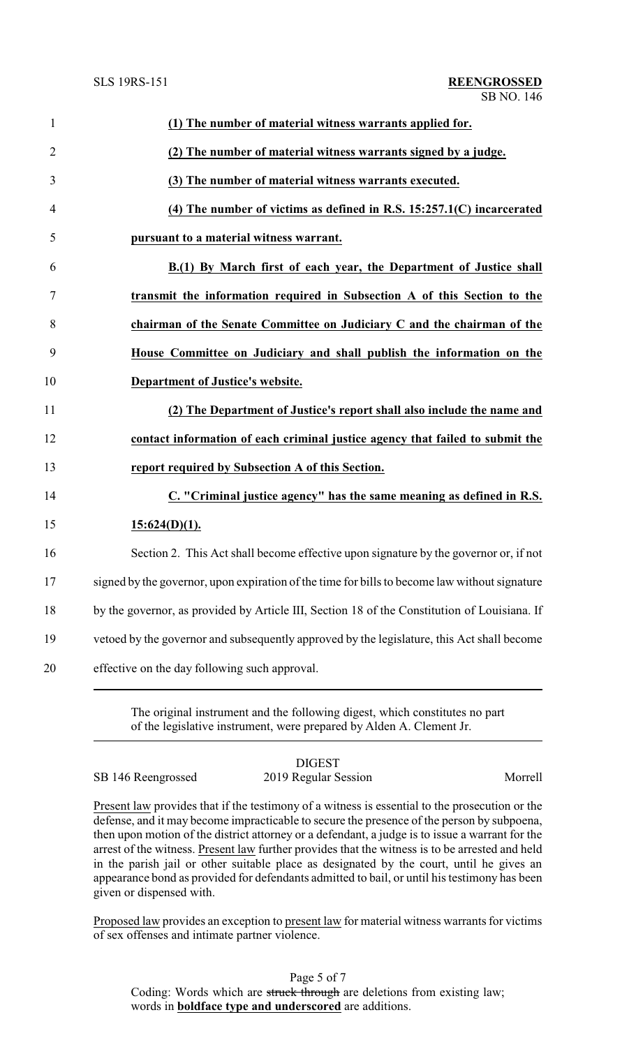| $\mathbf{1}$   | (1) The number of material witness warrants applied for.                                      |
|----------------|-----------------------------------------------------------------------------------------------|
| $\overline{2}$ | (2) The number of material witness warrants signed by a judge.                                |
| 3              | (3) The number of material witness warrants executed.                                         |
| $\overline{4}$ | $(4)$ The number of victims as defined in R.S. 15:257.1(C) incarcerated                       |
| 5              | pursuant to a material witness warrant.                                                       |
| 6              | B.(1) By March first of each year, the Department of Justice shall                            |
| 7              | transmit the information required in Subsection A of this Section to the                      |
| 8              | chairman of the Senate Committee on Judiciary C and the chairman of the                       |
| 9              | House Committee on Judiciary and shall publish the information on the                         |
| 10             | Department of Justice's website.                                                              |
| 11             | (2) The Department of Justice's report shall also include the name and                        |
| 12             | contact information of each criminal justice agency that failed to submit the                 |
| 13             | report required by Subsection A of this Section.                                              |
| 14             | C. "Criminal justice agency" has the same meaning as defined in R.S.                          |
|                | $15:624(D)(1)$ .                                                                              |
| 15             |                                                                                               |
| 16             | Section 2. This Act shall become effective upon signature by the governor or, if not          |
| 17             | signed by the governor, upon expiration of the time for bills to become law without signature |
| 18             | by the governor, as provided by Article III, Section 18 of the Constitution of Louisiana. If  |
| 19             | vetoed by the governor and subsequently approved by the legislature, this Act shall become    |

The original instrument and the following digest, which constitutes no part of the legislative instrument, were prepared by Alden A. Clement Jr.

DIGEST SB 146 Reengrossed 2019 Regular Session Morrell

Present law provides that if the testimony of a witness is essential to the prosecution or the defense, and it may become impracticable to secure the presence of the person by subpoena, then upon motion of the district attorney or a defendant, a judge is to issue a warrant for the arrest of the witness. Present law further provides that the witness is to be arrested and held in the parish jail or other suitable place as designated by the court, until he gives an appearance bond as provided for defendants admitted to bail, or until his testimony has been given or dispensed with.

Proposed law provides an exception to present law for material witness warrants for victims of sex offenses and intimate partner violence.

Page 5 of 7 Coding: Words which are struck through are deletions from existing law; words in **boldface type and underscored** are additions.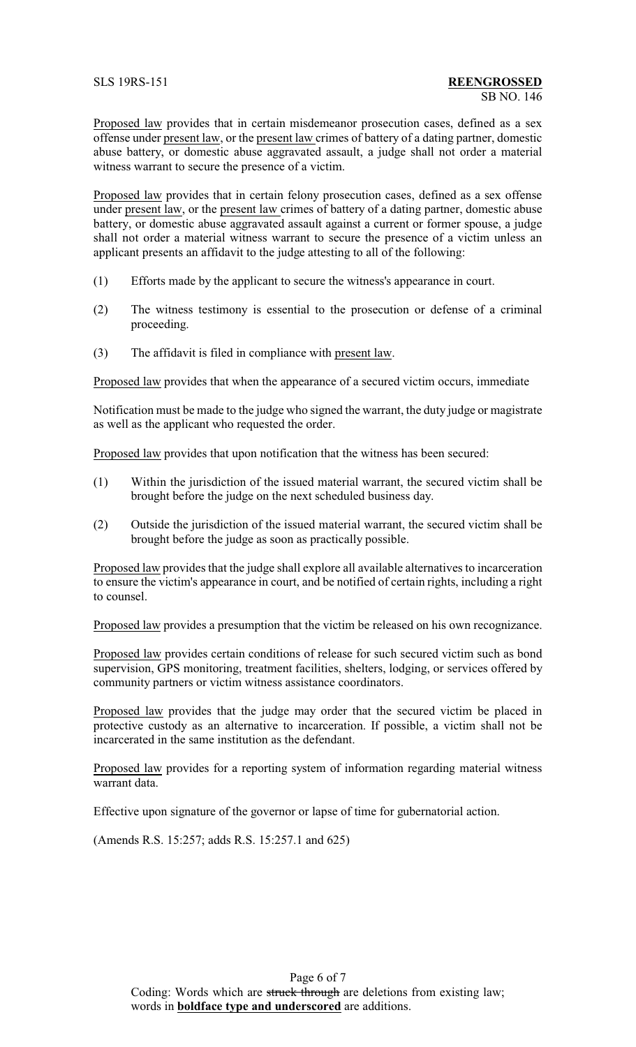Proposed law provides that in certain misdemeanor prosecution cases, defined as a sex offense under present law, or the present law crimes of battery of a dating partner, domestic abuse battery, or domestic abuse aggravated assault, a judge shall not order a material witness warrant to secure the presence of a victim.

Proposed law provides that in certain felony prosecution cases, defined as a sex offense under present law, or the present law crimes of battery of a dating partner, domestic abuse battery, or domestic abuse aggravated assault against a current or former spouse, a judge shall not order a material witness warrant to secure the presence of a victim unless an applicant presents an affidavit to the judge attesting to all of the following:

- (1) Efforts made by the applicant to secure the witness's appearance in court.
- (2) The witness testimony is essential to the prosecution or defense of a criminal proceeding.
- (3) The affidavit is filed in compliance with present law.

Proposed law provides that when the appearance of a secured victim occurs, immediate

Notification must be made to the judge who signed the warrant, the duty judge or magistrate as well as the applicant who requested the order.

Proposed law provides that upon notification that the witness has been secured:

- (1) Within the jurisdiction of the issued material warrant, the secured victim shall be brought before the judge on the next scheduled business day.
- (2) Outside the jurisdiction of the issued material warrant, the secured victim shall be brought before the judge as soon as practically possible.

Proposed law provides that the judge shall explore all available alternatives to incarceration to ensure the victim's appearance in court, and be notified of certain rights, including a right to counsel.

Proposed law provides a presumption that the victim be released on his own recognizance.

Proposed law provides certain conditions of release for such secured victim such as bond supervision, GPS monitoring, treatment facilities, shelters, lodging, or services offered by community partners or victim witness assistance coordinators.

Proposed law provides that the judge may order that the secured victim be placed in protective custody as an alternative to incarceration. If possible, a victim shall not be incarcerated in the same institution as the defendant.

Proposed law provides for a reporting system of information regarding material witness warrant data.

Effective upon signature of the governor or lapse of time for gubernatorial action.

(Amends R.S. 15:257; adds R.S. 15:257.1 and 625)